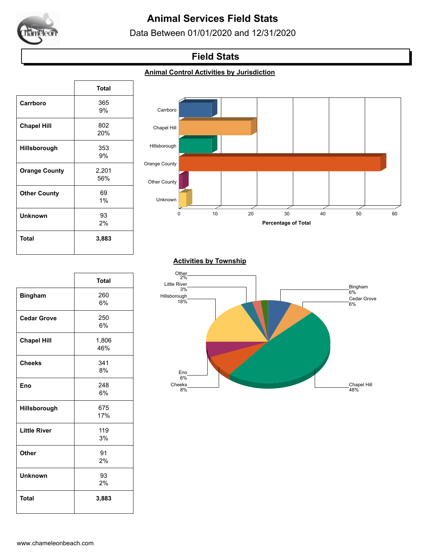

# **Animal Services Field Stats**

Data Between 01/01/2020 and 12/31/2020

## **Field Stats**

#### **Animal Control Activities by Jurisdiction**

|                      | <b>Total</b> |
|----------------------|--------------|
| Carrboro             | 365          |
|                      | 9%           |
| <b>Chapel Hill</b>   | 802          |
|                      | 20%          |
| Hillsborough         | 353          |
|                      | 9%           |
| <b>Orange County</b> | 2,201        |
|                      | 56%          |
| <b>Other County</b>  | 69           |
|                      | 1%           |
| <b>Unknown</b>       | 93           |
|                      | 2%           |
| Total                | 3,883        |
|                      |              |

 $\sqrt{ }$ 

٦



#### **Activities by Township**

|                     | <b>Total</b> |
|---------------------|--------------|
| <b>Bingham</b>      | 260          |
|                     | 6%           |
| <b>Cedar Grove</b>  | 250          |
|                     | 6%           |
| <b>Chapel Hill</b>  | 1,806        |
|                     | 46%          |
| <b>Cheeks</b>       | 341          |
|                     | 8%           |
| Eno                 | 248          |
|                     | 6%           |
| Hillsborough        | 675          |
|                     | 17%          |
| <b>Little River</b> | 119          |
|                     | 3%           |
| <b>Other</b>        | 91           |
|                     | 2%           |
| <b>Unknown</b>      | 93           |
|                     | 2%           |
| <b>Total</b>        | 3,883        |
|                     |              |

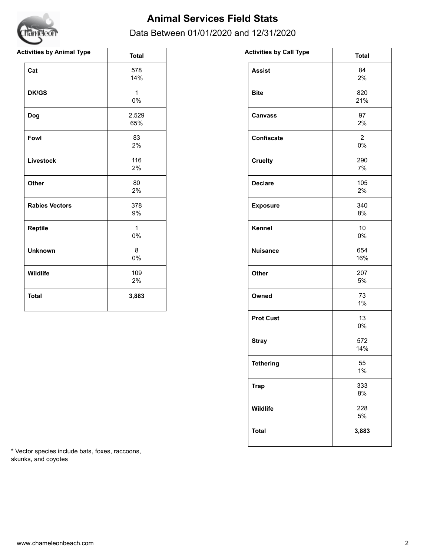

## **Animal Services Field Stats**

### Data Between 01/01/2020 and 12/31/2020

| <b>Activities by Animal Type</b> | <b>Total</b>          | <b>Activities by Call Type</b> | <b>Total</b>             |
|----------------------------------|-----------------------|--------------------------------|--------------------------|
| Cat                              | 578<br>14%            | <b>Assist</b>                  | 84<br>2%                 |
| <b>DK/GS</b>                     | $\mathbf{1}$<br>0%    | <b>Bite</b>                    | 820<br>21%               |
| Dog                              | 2,529<br>65%          | <b>Canvass</b>                 | 97<br>2%                 |
| Fowl                             | 83<br>2%              | Confiscate                     | $\overline{2}$<br>$0\%$  |
| Livestock                        | 116<br>2%             | <b>Cruelty</b>                 | 290<br>7%                |
| Other                            | 80<br>2%              | <b>Declare</b>                 | 105<br>2%                |
| <b>Rabies Vectors</b>            | 378<br>9%             | <b>Exposure</b>                | 340<br>8%                |
| Reptile                          | $\mathbf{1}$<br>$0\%$ | Kennel                         | 10 <sup>1</sup><br>$0\%$ |
| <b>Unknown</b>                   | 8<br>$0\%$            | <b>Nuisance</b>                | 654<br>16%               |
| Wildlife                         | 109<br>2%             | Other                          | 207<br>5%                |
| <b>Total</b>                     | 3,883                 | Owned                          | 73<br>1%                 |

| 84<br><b>Assist</b><br>2%<br>820<br><b>Bite</b><br>21%<br>97<br><b>Canvass</b><br>2%<br>$\overline{\mathbf{c}}$<br><b>Confiscate</b><br>0%<br>290<br><b>Cruelty</b><br>7%<br>105<br><b>Declare</b><br>2%<br>340<br><b>Exposure</b><br>8%<br>Kennel<br>10<br>0%<br>654<br><b>Nuisance</b><br>16%<br>Other<br>207<br>5%<br>73<br>Owned<br>1%<br>13<br><b>Prot Cust</b><br>0%<br>572<br><b>Stray</b><br>14%<br>55<br><b>Tethering</b><br>1%<br>333<br><b>Trap</b><br>8%<br>228<br>Wildlife<br>5%<br><b>Total</b><br>3,883 | <b>Activities by Call Type</b> | <b>Total</b> |
|------------------------------------------------------------------------------------------------------------------------------------------------------------------------------------------------------------------------------------------------------------------------------------------------------------------------------------------------------------------------------------------------------------------------------------------------------------------------------------------------------------------------|--------------------------------|--------------|
|                                                                                                                                                                                                                                                                                                                                                                                                                                                                                                                        |                                |              |
|                                                                                                                                                                                                                                                                                                                                                                                                                                                                                                                        |                                |              |
|                                                                                                                                                                                                                                                                                                                                                                                                                                                                                                                        |                                |              |
|                                                                                                                                                                                                                                                                                                                                                                                                                                                                                                                        |                                |              |
|                                                                                                                                                                                                                                                                                                                                                                                                                                                                                                                        |                                |              |
|                                                                                                                                                                                                                                                                                                                                                                                                                                                                                                                        |                                |              |
|                                                                                                                                                                                                                                                                                                                                                                                                                                                                                                                        |                                |              |
|                                                                                                                                                                                                                                                                                                                                                                                                                                                                                                                        |                                |              |
|                                                                                                                                                                                                                                                                                                                                                                                                                                                                                                                        |                                |              |
|                                                                                                                                                                                                                                                                                                                                                                                                                                                                                                                        |                                |              |
|                                                                                                                                                                                                                                                                                                                                                                                                                                                                                                                        |                                |              |
|                                                                                                                                                                                                                                                                                                                                                                                                                                                                                                                        |                                |              |
|                                                                                                                                                                                                                                                                                                                                                                                                                                                                                                                        |                                |              |
|                                                                                                                                                                                                                                                                                                                                                                                                                                                                                                                        |                                |              |
|                                                                                                                                                                                                                                                                                                                                                                                                                                                                                                                        |                                |              |
|                                                                                                                                                                                                                                                                                                                                                                                                                                                                                                                        |                                |              |
|                                                                                                                                                                                                                                                                                                                                                                                                                                                                                                                        |                                |              |

\* Vector species include bats, foxes, raccoons, skunks, and coyotes